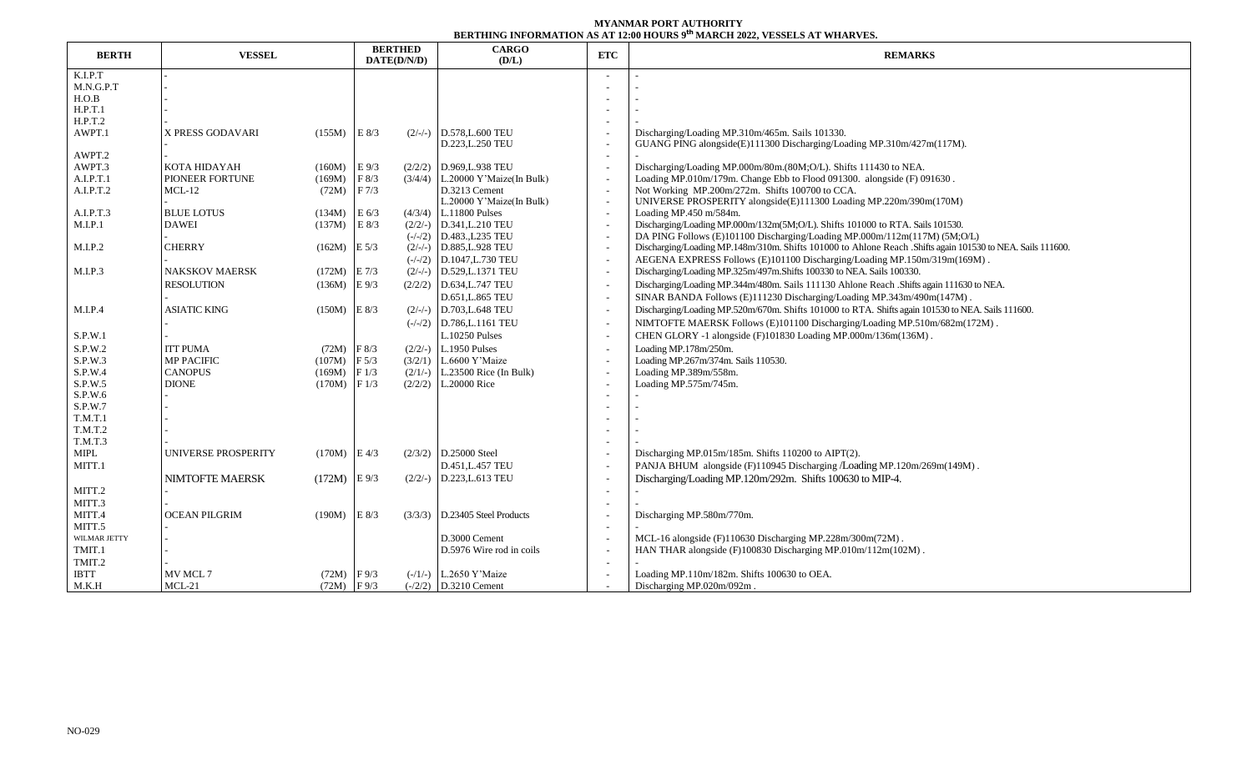## **MYANMAR PORT AUTHORITY BERTHING INFORMATION AS AT 12:00 HOURS 9 th MARCH 2022, VESSELS AT WHARVES.**

| <b>BERTH</b>    | <b>VESSEL</b>          |                | <b>BERTHED</b><br>DATE(D/N/D) |  | <b>CARGO</b><br>(D/L)              | <b>ETC</b>               | <b>REMARKS</b>                                                                                             |  |  |  |
|-----------------|------------------------|----------------|-------------------------------|--|------------------------------------|--------------------------|------------------------------------------------------------------------------------------------------------|--|--|--|
| K.I.P.T         |                        |                |                               |  |                                    |                          |                                                                                                            |  |  |  |
| M.N.G.P.T       |                        |                |                               |  |                                    |                          |                                                                                                            |  |  |  |
| H.O.B           |                        |                |                               |  |                                    |                          |                                                                                                            |  |  |  |
| H.P.T.1         |                        |                |                               |  |                                    |                          |                                                                                                            |  |  |  |
| H.P.T.2         |                        |                |                               |  |                                    |                          |                                                                                                            |  |  |  |
| AWPT.1          | X PRESS GODAVARI       | $(155M)$ E 8/3 |                               |  | $(2/-/-)$ D.578, L.600 TEU         |                          | Discharging/Loading MP.310m/465m. Sails 101330.                                                            |  |  |  |
|                 |                        |                |                               |  | D.223, L.250 TEU                   |                          | GUANG PING alongside(E)111300 Discharging/Loading MP.310m/427m(117M).                                      |  |  |  |
| AWPT.2          |                        |                |                               |  |                                    | $\overline{\phantom{a}}$ |                                                                                                            |  |  |  |
| AWPT.3          | KOTA HIDAYAH           | (160M)         | E9/3                          |  | $(2/2/2)$ D.969, L.938 TEU         | $\sim$                   | Discharging/Loading MP.000m/80m.(80M;O/L). Shifts 111430 to NEA.                                           |  |  |  |
| A.I.P.T.1       | PIONEER FORTUNE        | (169M)         | F 8/3                         |  | $(3/4/4)$ L.20000 Y'Maize(In Bulk) |                          | Loading MP.010m/179m. Change Ebb to Flood 091300. alongside (F) 091630.                                    |  |  |  |
| A.I.P.T.2       | $MCL-12$               | (72M)          | F <sub>7/3</sub>              |  | D.3213 Cement                      |                          | Not Working MP.200m/272m. Shifts 100700 to CCA.                                                            |  |  |  |
|                 |                        |                |                               |  | L.20000 Y'Maize(In Bulk)           |                          | UNIVERSE PROSPERITY alongside(E)111300 Loading MP.220m/390m(170M)                                          |  |  |  |
| A.I.P.T.3       | <b>BLUE LOTUS</b>      | (134M)         | E 6/3                         |  | $(4/3/4)$ L.11800 Pulses           |                          | Loading MP.450 m/584m.                                                                                     |  |  |  |
| M.I.P.1         | DAWEI                  | (137M)         | E 8/3                         |  | (2/2/-) D.341, L.210 TEU           |                          | Discharging/Loading MP.000m/132m(5M;O/L). Shifts 101000 to RTA. Sails 101530.                              |  |  |  |
|                 |                        |                |                               |  | $(-/-/2)$ D.483., L235 TEU         |                          | DA PING Follows (E)101100 Discharging/Loading MP.000m/112m(117M) (5M;O/L)                                  |  |  |  |
| M.I.P.2         | <b>CHERRY</b>          | $(162M)$ E 5/3 |                               |  | $(2/-/-)$ D.885, L.928 TEU         | $\sim$                   | Discharging/Loading MP.148m/310m. Shifts 101000 to Ahlone Reach .Shifts again 101530 to NEA. Sails 111600. |  |  |  |
|                 |                        |                |                               |  | $(-/-/2)$ D.1047, L.730 TEU        |                          | AEGENA EXPRESS Follows (E)101100 Discharging/Loading MP.150m/319m(169M).                                   |  |  |  |
| M.I.P.3         | <b>NAKSKOV MAERSK</b>  | (172M)         | E <sub>7/3</sub>              |  | $(2/-/-)$ D.529, L.1371 TEU        |                          | Discharging/Loading MP.325m/497m.Shifts 100330 to NEA. Sails 100330.                                       |  |  |  |
|                 | <b>RESOLUTION</b>      | (136M)         | $E\,9/3$                      |  | $(2/2/2)$ D.634, L.747 TEU         | $\sim$                   | Discharging/Loading MP.344m/480m. Sails 111130 Ahlone Reach .Shifts again 111630 to NEA.                   |  |  |  |
|                 |                        |                |                               |  | D.651, L.865 TEU                   |                          | SINAR BANDA Follows (E)111230 Discharging/Loading MP.343m/490m(147M).                                      |  |  |  |
| M.I.P.4         | <b>ASIATIC KING</b>    | (150M)         | $E$ 8/3                       |  | $(2/-/-)$ D.703, L.648 TEU         |                          | Discharging/Loading MP.520m/670m. Shifts 101000 to RTA. Shifts again 101530 to NEA. Sails 111600.          |  |  |  |
|                 |                        |                |                               |  | $(-/-/2)$ D.786, L.1161 TEU        |                          | NIMTOFTE MAERSK Follows (E)101100 Discharging/Loading MP.510m/682m(172M).                                  |  |  |  |
| S.P.W.1         |                        |                |                               |  | L.10250 Pulses                     | $\sim$                   | CHEN GLORY -1 alongside (F)101830 Loading MP.000m/136m(136M).                                              |  |  |  |
| S.P.W.2         | <b>ITT PUMA</b>        | $(72M)$ F 8/3  |                               |  | $(2/2/-)$ L.1950 Pulses            |                          | Loading MP.178m/250m.                                                                                      |  |  |  |
| S.P.W.3         | <b>MP PACIFIC</b>      | (107M)         | F <sub>5/3</sub>              |  | $(3/2/1)$ L.6600 Y'Maize           |                          | Loading MP.267m/374m. Sails 110530.                                                                        |  |  |  |
| S.P.W.4         | <b>CANOPUS</b>         | (169M)         | F <sub>1/3</sub>              |  | $(2/1/-)$ L.23500 Rice (In Bulk)   |                          | Loading MP.389m/558m.                                                                                      |  |  |  |
| S.P.W.5         | <b>DIONE</b>           | (170M)         | F1/3                          |  | $(2/2/2)$ L.20000 Rice             |                          | Loading MP.575m/745m.                                                                                      |  |  |  |
| S.P.W.6         |                        |                |                               |  |                                    |                          |                                                                                                            |  |  |  |
| S.P.W.7         |                        |                |                               |  |                                    |                          |                                                                                                            |  |  |  |
| T.M.T.1         |                        |                |                               |  |                                    |                          |                                                                                                            |  |  |  |
| T.M.T.2         |                        |                |                               |  |                                    |                          |                                                                                                            |  |  |  |
| T.M.T.3         |                        |                |                               |  |                                    |                          |                                                                                                            |  |  |  |
| MIPL            | UNIVERSE PROSPERITY    | $(170M)$ E 4/3 |                               |  | $(2/3/2)$ D.25000 Steel            |                          | Discharging MP.015m/185m. Shifts 110200 to AIPT(2).                                                        |  |  |  |
| MITT.1          |                        |                |                               |  | D.451, L.457 TEU                   | $\overline{\phantom{a}}$ | PANJA BHUM alongside (F)110945 Discharging /Loading MP.120m/269m(149M).                                    |  |  |  |
|                 | <b>NIMTOFTE MAERSK</b> | $(172M)$ E 9/3 |                               |  | $(2/2/-)$ D.223, L.613 TEU         |                          | Discharging/Loading MP.120m/292m. Shifts 100630 to MIP-4.                                                  |  |  |  |
| MITT.2          |                        |                |                               |  |                                    | $\overline{\phantom{a}}$ |                                                                                                            |  |  |  |
| MITT.3          |                        |                |                               |  |                                    |                          |                                                                                                            |  |  |  |
| MITT.4          | <b>OCEAN PILGRIM</b>   | (190M)         | E 8/3                         |  | $(3/3/3)$ D.23405 Steel Products   |                          | Discharging MP.580m/770m.                                                                                  |  |  |  |
| $\text{MITT.5}$ |                        |                |                               |  |                                    |                          |                                                                                                            |  |  |  |
| WILMAR JETTY    |                        |                |                               |  | D.3000 Cement                      |                          | MCL-16 alongside (F)110630 Discharging MP.228m/300m(72M).                                                  |  |  |  |
| TMIT.1          |                        |                |                               |  | D.5976 Wire rod in coils           |                          | HAN THAR alongside (F)100830 Discharging MP.010m/112m(102M).                                               |  |  |  |
| TMIT.2          |                        |                |                               |  |                                    |                          |                                                                                                            |  |  |  |
| <b>IBTT</b>     | MV MCL 7               | $(72M)$ F 9/3  |                               |  | $(-/1/-)$ L.2650 Y'Maize           |                          | Loading MP.110m/182m. Shifts 100630 to OEA.                                                                |  |  |  |
| M.K.H           | $MCL-21$               | (72M)          | $F\,9/3$                      |  | $(-/2/2)$ D.3210 Cement            |                          | Discharging MP.020m/092m.                                                                                  |  |  |  |